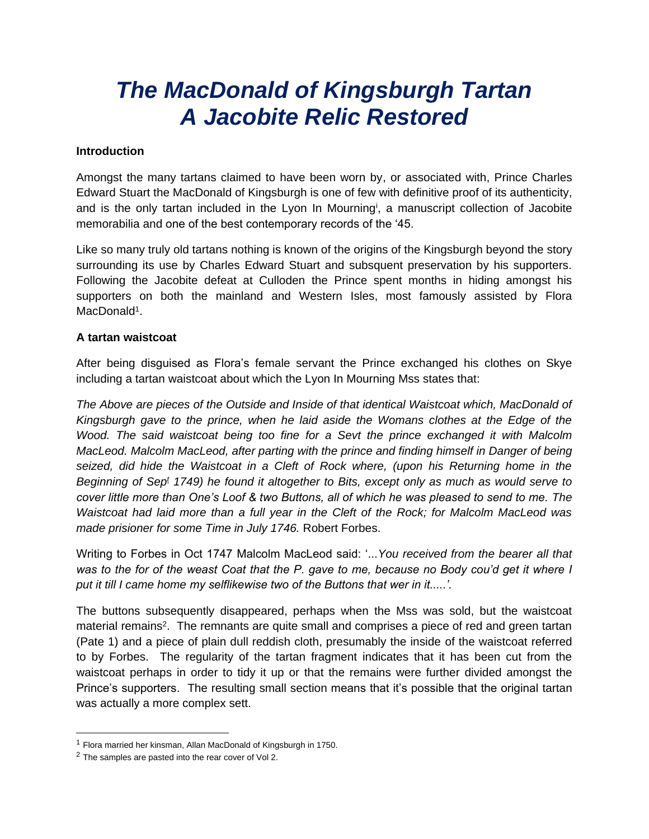# *The MacDonald of Kingsburgh Tartan A Jacobite Relic Restored*

### **Introduction**

Amongst the many tartans claimed to have been worn by, or associated with, Prince Charles Edward Stuart the MacDonald of Kingsburgh is one of few with definitive proof of its authenticity, and is the only tartan included in the Lyon In Mourning<sup>i</sup>, a manuscript collection of Jacobite memorabilia and one of the best contemporary records of the '45.

Like so many truly old tartans nothing is known of the origins of the Kingsburgh beyond the story surrounding its use by Charles Edward Stuart and subsquent preservation by his supporters. Following the Jacobite defeat at Culloden the Prince spent months in hiding amongst his supporters on both the mainland and Western Isles, most famously assisted by Flora MacDonald<sup>1</sup>.

#### **A tartan waistcoat**

After being disguised as Flora's female servant the Prince exchanged his clothes on Skye including a tartan waistcoat about which the Lyon In Mourning Mss states that:

*The Above are pieces of the Outside and Inside of that identical Waistcoat which, MacDonald of Kingsburgh gave to the prince, when he laid aside the Womans clothes at the Edge of the Wood. The said waistcoat being too fine for a Sevt the prince exchanged it with Malcolm MacLeod. Malcolm MacLeod, after parting with the prince and finding himself in Danger of being seized, did hide the Waistcoat in a Cleft of Rock where, (upon his Returning home in the Beginning of Sep<sup>t</sup> 1749) he found it altogether to Bits, except only as much as would serve to cover little more than One's Loof & two Buttons, all of which he was pleased to send to me. The Waistcoat had laid more than a full year in the Cleft of the Rock; for Malcolm MacLeod was made prisioner for some Time in July 1746.* Robert Forbes.

Writing to Forbes in Oct 1747 Malcolm MacLeod said: '...*You received from the bearer all that was to the for of the weast Coat that the P. gave to me, because no Body cou'd get it where I put it till I came home my selflikewise two of the Buttons that wer in it.....'.*

The buttons subsequently disappeared, perhaps when the Mss was sold, but the waistcoat material remains<sup>2</sup>. The remnants are quite small and comprises a piece of red and green tartan (Pate 1) and a piece of plain dull reddish cloth, presumably the inside of the waistcoat referred to by Forbes. The regularity of the tartan fragment indicates that it has been cut from the waistcoat perhaps in order to tidy it up or that the remains were further divided amongst the Prince's supporters. The resulting small section means that it's possible that the original tartan was actually a more complex sett.

 $1$  Flora married her kinsman, Allan MacDonald of Kingsburgh in 1750.

 $2$  The samples are pasted into the rear cover of Vol 2.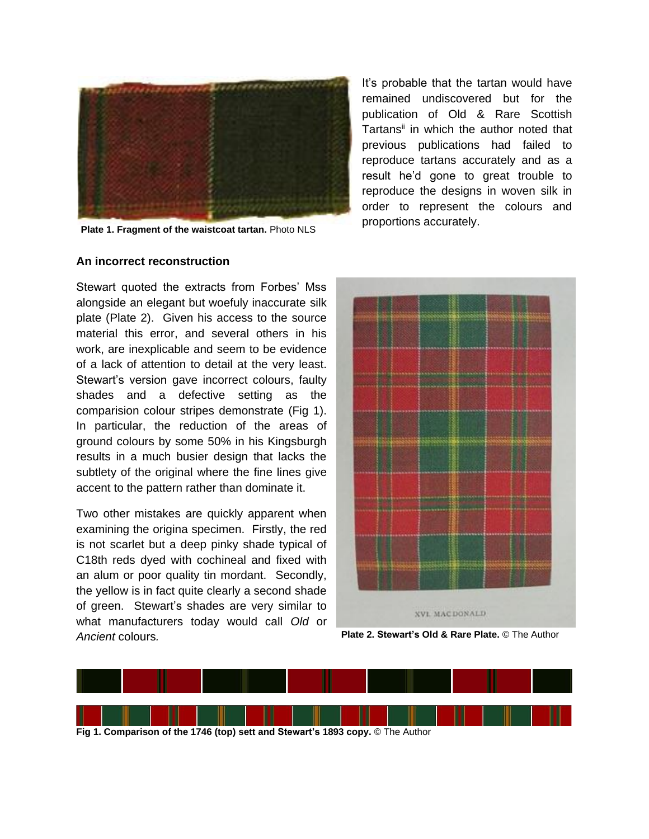

**Plate 1. Fragment of the waistcoat tartan.** Photo NLS

It's probable that the tartan would have remained undiscovered but for the publication of Old & Rare Scottish Tartans<sup>ii</sup> in which the author noted that previous publications had failed to reproduce tartans accurately and as a result he'd gone to great trouble to reproduce the designs in woven silk in order to represent the colours and proportions accurately.

#### **An incorrect reconstruction**

Stewart quoted the extracts from Forbes' Mss alongside an elegant but woefuly inaccurate silk plate (Plate 2). Given his access to the source material this error, and several others in his work, are inexplicable and seem to be evidence of a lack of attention to detail at the very least. Stewart's version gave incorrect colours, faulty shades and a defective setting as the comparision colour stripes demonstrate (Fig 1). In particular, the reduction of the areas of ground colours by some 50% in his Kingsburgh results in a much busier design that lacks the subtlety of the original where the fine lines give accent to the pattern rather than dominate it.

Two other mistakes are quickly apparent when examining the origina specimen. Firstly, the red is not scarlet but a deep pinky shade typical of C18th reds dyed with cochineal and fixed with an alum or poor quality tin mordant. Secondly, the yellow is in fact quite clearly a second shade of green. Stewart's shades are very similar to what manufacturers today would call *Old* or *Ancient* colours*.*



**Plate 2. Stewart's Old & Rare Plate.** © The Author



**Fig 1. Comparison of the 1746 (top) sett and Stewart's 1893 copy.** © The Author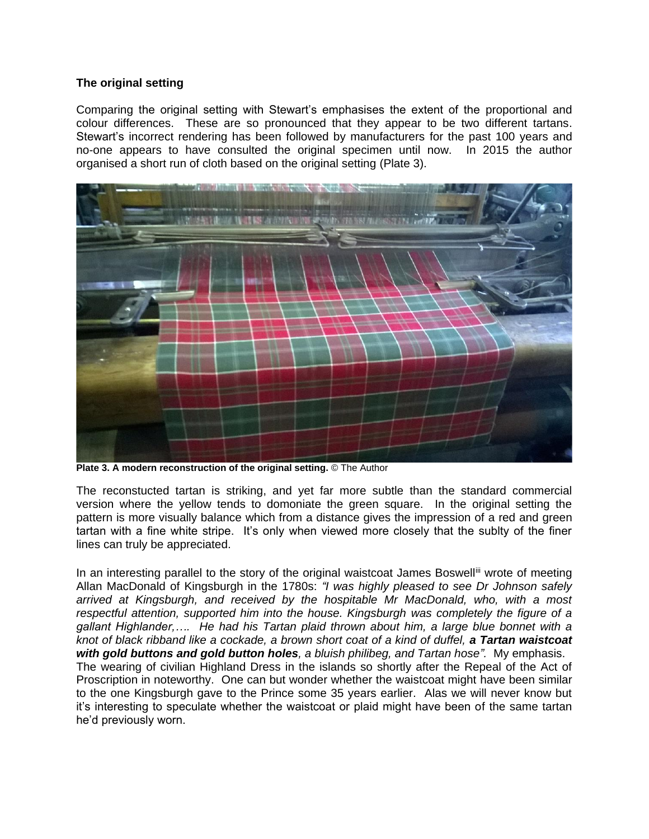## **The original setting**

Comparing the original setting with Stewart's emphasises the extent of the proportional and colour differences. These are so pronounced that they appear to be two different tartans. Stewart's incorrect rendering has been followed by manufacturers for the past 100 years and no-one appears to have consulted the original specimen until now. In 2015 the author organised a short run of cloth based on the original setting (Plate 3).



**Plate 3. A modern reconstruction of the original setting.** © The Author

The reconstucted tartan is striking, and yet far more subtle than the standard commercial version where the yellow tends to domoniate the green square. In the original setting the pattern is more visually balance which from a distance gives the impression of a red and green tartan with a fine white stripe. It's only when viewed more closely that the sublty of the finer lines can truly be appreciated.

In an interesting parallel to the story of the original waistcoat James Boswell<sup>iii</sup> wrote of meeting Allan MacDonald of Kingsburgh in the 1780s: *"I was highly pleased to see Dr Johnson safely arrived at Kingsburgh, and received by the hospitable Mr MacDonald, who, with a most respectful attention, supported him into the house. Kingsburgh was completely the figure of a gallant Highlander,…. He had his Tartan plaid thrown about him, a large blue bonnet with a knot of black ribband like a cockade, a brown short coat of a kind of duffel, a Tartan waistcoat with gold buttons and gold button holes, a bluish philibeg, and Tartan hose".* My emphasis.

The wearing of civilian Highland Dress in the islands so shortly after the Repeal of the Act of Proscription in noteworthy. One can but wonder whether the waistcoat might have been similar to the one Kingsburgh gave to the Prince some 35 years earlier. Alas we will never know but it's interesting to speculate whether the waistcoat or plaid might have been of the same tartan he'd previously worn.